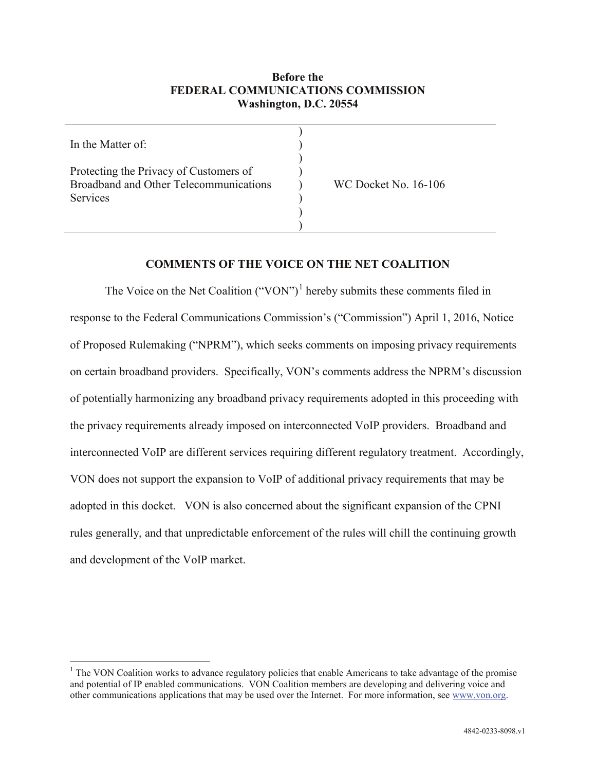### **Before the FEDERAL COMMUNICATIONS COMMISSION Washington, D.C. 20554**

| In the Matter of:                                                                                   |                             |
|-----------------------------------------------------------------------------------------------------|-----------------------------|
| Protecting the Privacy of Customers of<br>Broadband and Other Telecommunications<br><b>Services</b> | <b>WC Docket No. 16-106</b> |
|                                                                                                     |                             |

#### **COMMENTS OF THE VOICE ON THE NET COALITION**

The Voice on the Net Coalition  $("VON")^1$  $("VON")^1$  hereby submits these comments filed in response to the Federal Communications Commission's ("Commission") April 1, 2016, Notice of Proposed Rulemaking ("NPRM"), which seeks comments on imposing privacy requirements on certain broadband providers. Specifically, VON's comments address the NPRM's discussion of potentially harmonizing any broadband privacy requirements adopted in this proceeding with the privacy requirements already imposed on interconnected VoIP providers. Broadband and interconnected VoIP are different services requiring different regulatory treatment. Accordingly, VON does not support the expansion to VoIP of additional privacy requirements that may be adopted in this docket. VON is also concerned about the significant expansion of the CPNI rules generally, and that unpredictable enforcement of the rules will chill the continuing growth and development of the VoIP market.

<span id="page-0-0"></span> $<sup>1</sup>$  The VON Coalition works to advance regulatory policies that enable Americans to take advantage of the promise</sup> and potential of IP enabled communications. VON Coalition members are developing and delivering voice and other communications applications that may be used over the Internet. For more information, see [www.von.org.](http://www.von.org/)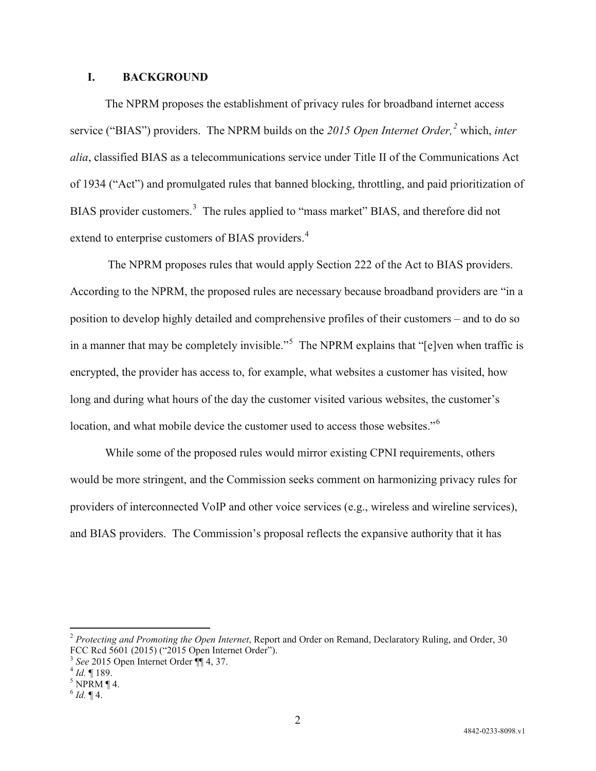#### **I. BACKGROUND**

The NPRM proposes the establishment of privacy rules for broadband internet access service ("BIAS") providers. The NPRM builds on the *2015 Open Internet Order, [2](#page-1-0)* which, *inter alia*, classified BIAS as a telecommunications service under Title II of the Communications Act of 1934 ("Act") and promulgated rules that banned blocking, throttling, and paid prioritization of BIAS provider customers.<sup>[3](#page-1-1)</sup> The rules applied to "mass market" BIAS, and therefore did not extend to enterprise customers of BIAS providers.<sup>[4](#page-1-2)</sup>

The NPRM proposes rules that would apply Section 222 of the Act to BIAS providers. According to the NPRM, the proposed rules are necessary because broadband providers are "in a position to develop highly detailed and comprehensive profiles of their customers – and to do so in a manner that may be completely invisible."<sup>[5](#page-1-3)</sup> The NPRM explains that "[e]ven when traffic is encrypted, the provider has access to, for example, what websites a customer has visited, how long and during what hours of the day the customer visited various websites, the customer's location, and what mobile device the customer used to access those websites."<sup>[6](#page-1-4)</sup>

While some of the proposed rules would mirror existing CPNI requirements, others would be more stringent, and the Commission seeks comment on harmonizing privacy rules for providers of interconnected VoIP and other voice services (e.g., wireless and wireline services), and BIAS providers. The Commission's proposal reflects the expansive authority that it has

<span id="page-1-0"></span> <sup>2</sup> *Protecting and Promoting the Open Internet*, Report and Order on Remand, Declaratory Ruling, and Order, 30 FCC Rcd 5601 (2015) ("2015 Open Internet Order").<br><sup>3</sup> *See* 2015 Open Internet Order ¶[ 4, 37.<br><sup>4</sup> *Id.* ¶ 189.<br><sup>5</sup> NPRM ¶ 4.

<span id="page-1-1"></span>

<span id="page-1-2"></span>

<span id="page-1-4"></span><span id="page-1-3"></span> $^{6}$  *Id.* ¶ 4.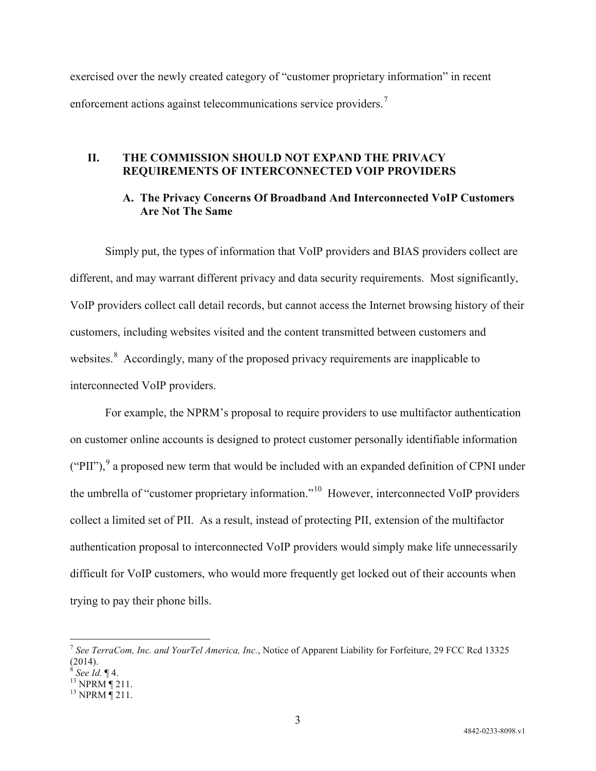exercised over the newly created category of "customer proprietary information" in recent enforcement actions against telecommunications service providers.<sup>[7](#page-2-0)</sup>

## **II. THE COMMISSION SHOULD NOT EXPAND THE PRIVACY REQUIREMENTS OF INTERCONNECTED VOIP PROVIDERS**

# **A. The Privacy Concerns Of Broadband And Interconnected VoIP Customers Are Not The Same**

Simply put, the types of information that VoIP providers and BIAS providers collect are different, and may warrant different privacy and data security requirements. Most significantly, VoIP providers collect call detail records, but cannot access the Internet browsing history of their customers, including websites visited and the content transmitted between customers and websites.<sup>[8](#page-2-1)</sup> Accordingly, many of the proposed privacy requirements are inapplicable to interconnected VoIP providers.

For example, the NPRM's proposal to require providers to use multifactor authentication on customer online accounts is designed to protect customer personally identifiable information ("PII"),  $9$  a proposed new term that would be included with an expanded definition of CPNI under the umbrella of "customer proprietary information."[10](#page-2-3) However, interconnected VoIP providers collect a limited set of PII. As a result, instead of protecting PII, extension of the multifactor authentication proposal to interconnected VoIP providers would simply make life unnecessarily difficult for VoIP customers, who would more frequently get locked out of their accounts when trying to pay their phone bills.

<span id="page-2-0"></span> <sup>7</sup> *See TerraCom, Inc. and YourTel America, Inc.*, Notice of Apparent Liability for Forfeiture, 29 FCC Rcd <sup>13325</sup> (2014).

<span id="page-2-3"></span><span id="page-2-2"></span>

<span id="page-2-1"></span><sup>8&</sup>lt;br><sup>8</sup> *See 1d.* ¶ 4.<br><sup>13</sup> NPRM ¶ 211.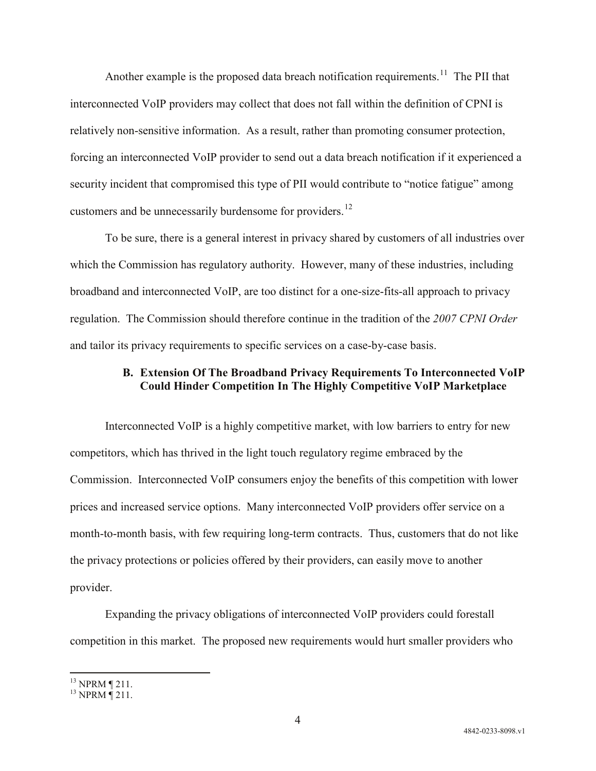Another example is the proposed data breach notification requirements.<sup>[11](#page-3-0)</sup> The PII that interconnected VoIP providers may collect that does not fall within the definition of CPNI is relatively non-sensitive information. As a result, rather than promoting consumer protection, forcing an interconnected VoIP provider to send out a data breach notification if it experienced a security incident that compromised this type of PII would contribute to "notice fatigue" among customers and be unnecessarily burdensome for providers.<sup>[12](#page-3-1)</sup>

To be sure, there is a general interest in privacy shared by customers of all industries over which the Commission has regulatory authority. However, many of these industries, including broadband and interconnected VoIP, are too distinct for a one-size-fits-all approach to privacy regulation. The Commission should therefore continue in the tradition of the *2007 CPNI Order* and tailor its privacy requirements to specific services on a case-by-case basis.

# **B. Extension Of The Broadband Privacy Requirements To Interconnected VoIP Could Hinder Competition In The Highly Competitive VoIP Marketplace**

Interconnected VoIP is a highly competitive market, with low barriers to entry for new competitors, which has thrived in the light touch regulatory regime embraced by the Commission. Interconnected VoIP consumers enjoy the benefits of this competition with lower prices and increased service options. Many interconnected VoIP providers offer service on a month-to-month basis, with few requiring long-term contracts. Thus, customers that do not like the privacy protections or policies offered by their providers, can easily move to another provider.

Expanding the privacy obligations of interconnected VoIP providers could forestall competition in this market. The proposed new requirements would hurt smaller providers who

<span id="page-3-1"></span><span id="page-3-0"></span> $^{13}$  NPRM ¶ 211.<br> $^{13}$  NPRM ¶ 211.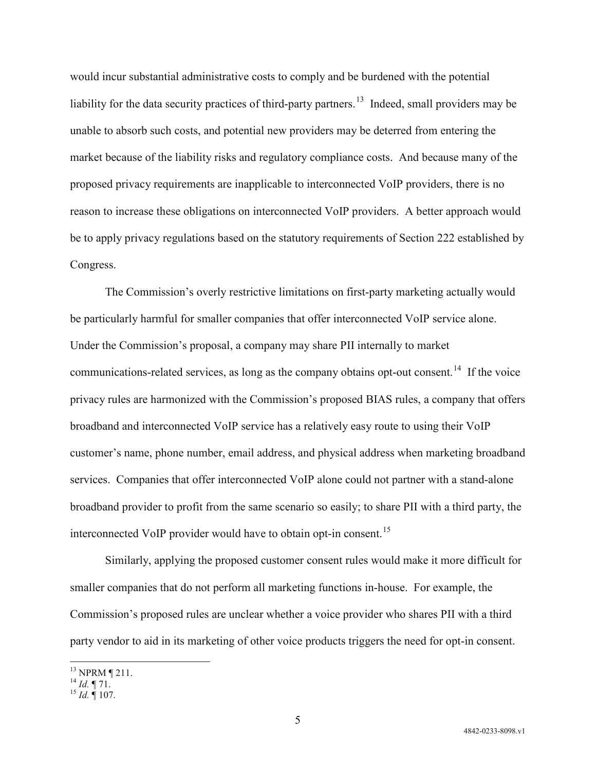would incur substantial administrative costs to comply and be burdened with the potential liability for the data security practices of third-party partners.<sup>[13](#page-4-0)</sup> Indeed, small providers may be unable to absorb such costs, and potential new providers may be deterred from entering the market because of the liability risks and regulatory compliance costs. And because many of the proposed privacy requirements are inapplicable to interconnected VoIP providers, there is no reason to increase these obligations on interconnected VoIP providers. A better approach would be to apply privacy regulations based on the statutory requirements of Section 222 established by Congress.

The Commission's overly restrictive limitations on first-party marketing actually would be particularly harmful for smaller companies that offer interconnected VoIP service alone. Under the Commission's proposal, a company may share PII internally to market communications-related services, as long as the company obtains opt-out consent.<sup>[14](#page-4-1)</sup> If the voice privacy rules are harmonized with the Commission's proposed BIAS rules, a company that offers broadband and interconnected VoIP service has a relatively easy route to using their VoIP customer's name, phone number, email address, and physical address when marketing broadband services. Companies that offer interconnected VoIP alone could not partner with a stand-alone broadband provider to profit from the same scenario so easily; to share PII with a third party, the interconnected VoIP provider would have to obtain opt-in consent.<sup>15</sup>

Similarly, applying the proposed customer consent rules would make it more difficult for smaller companies that do not perform all marketing functions in-house. For example, the Commission's proposed rules are unclear whether a voice provider who shares PII with a third party vendor to aid in its marketing of other voice products triggers the need for opt-in consent.

<span id="page-4-1"></span><span id="page-4-0"></span><sup>13</sup> NPRM ¶ 211. <sup>14</sup> *Id.* ¶ 71. <sup>15</sup> *Id.* ¶ 107.

<span id="page-4-2"></span>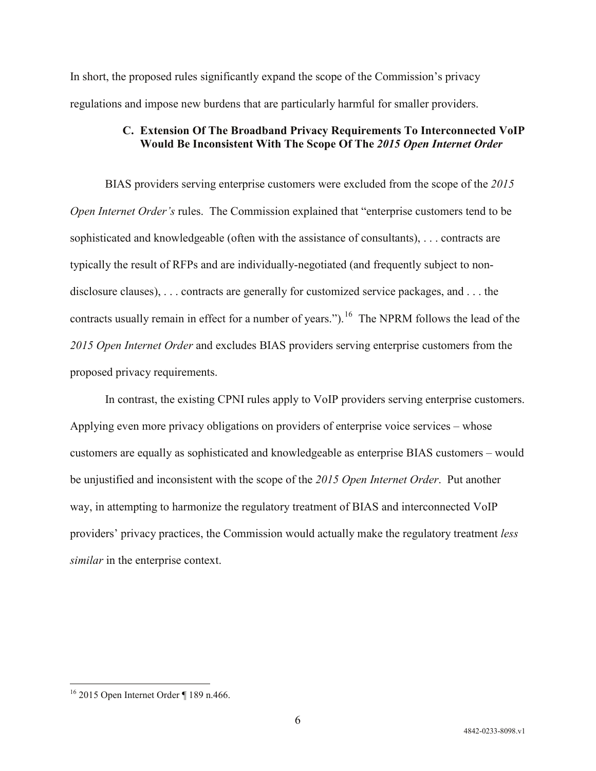In short, the proposed rules significantly expand the scope of the Commission's privacy regulations and impose new burdens that are particularly harmful for smaller providers.

## **C. Extension Of The Broadband Privacy Requirements To Interconnected VoIP Would Be Inconsistent With The Scope Of The** *2015 Open Internet Order*

BIAS providers serving enterprise customers were excluded from the scope of the *2015 Open Internet Order's* rules. The Commission explained that "enterprise customers tend to be sophisticated and knowledgeable (often with the assistance of consultants), . . . contracts are typically the result of RFPs and are individually-negotiated (and frequently subject to nondisclosure clauses), . . . contracts are generally for customized service packages, and . . . the contracts usually remain in effect for a number of years.").<sup>[16](#page-5-0)</sup> The NPRM follows the lead of the *2015 Open Internet Order* and excludes BIAS providers serving enterprise customers from the proposed privacy requirements.

In contrast, the existing CPNI rules apply to VoIP providers serving enterprise customers. Applying even more privacy obligations on providers of enterprise voice services – whose customers are equally as sophisticated and knowledgeable as enterprise BIAS customers – would be unjustified and inconsistent with the scope of the *2015 Open Internet Order*. Put another way, in attempting to harmonize the regulatory treatment of BIAS and interconnected VoIP providers' privacy practices, the Commission would actually make the regulatory treatment *less similar* in the enterprise context.

<span id="page-5-0"></span> <sup>16</sup> 2015 Open Internet Order ¶ 189 n.466.